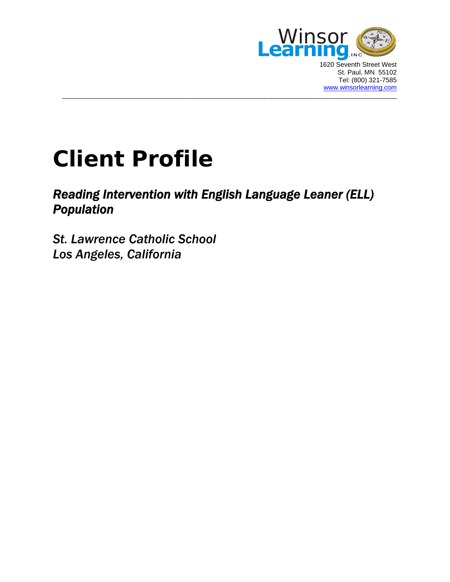

1620 Seventh Street West St. Paul, MN 55102 Tel: (800) 321-7585 [www.winsorlearning.com](http://www.winsorlearning.com/)

## **Client Profile**

## *Reading Intervention with English Language Leaner (ELL) Population*

 $\_$  . The contribution of the contribution of the contribution of the contribution of the contribution of the contribution of the contribution of the contribution of the contribution of the contribution of the contributio

*St. Lawrence Catholic School Los Angeles, California*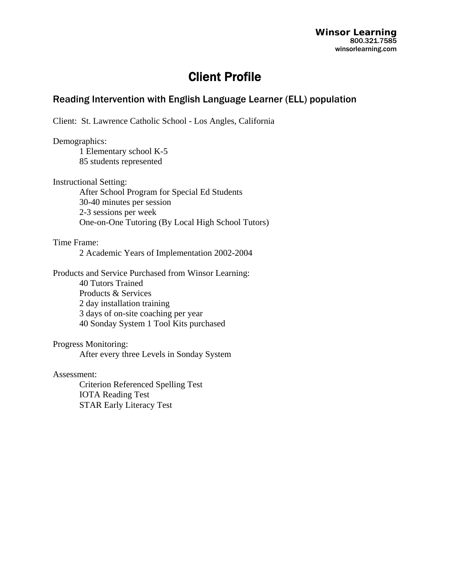## Client Profile

## Reading Intervention with English Language Learner (ELL) population

Client: St. Lawrence Catholic School - Los Angles, California

Demographics: 1 Elementary school K-5 85 students represented

Instructional Setting: After School Program for Special Ed Students 30-40 minutes per session 2-3 sessions per week One-on-One Tutoring (By Local High School Tutors)

Time Frame:

2 Academic Years of Implementation 2002-2004

Products and Service Purchased from Winsor Learning: 40 Tutors Trained Products & Services 2 day installation training 3 days of on-site coaching per year 40 Sonday System 1 Tool Kits purchased

Progress Monitoring:

After every three Levels in Sonday System

Assessment:

 Criterion Referenced Spelling Test IOTA Reading Test STAR Early Literacy Test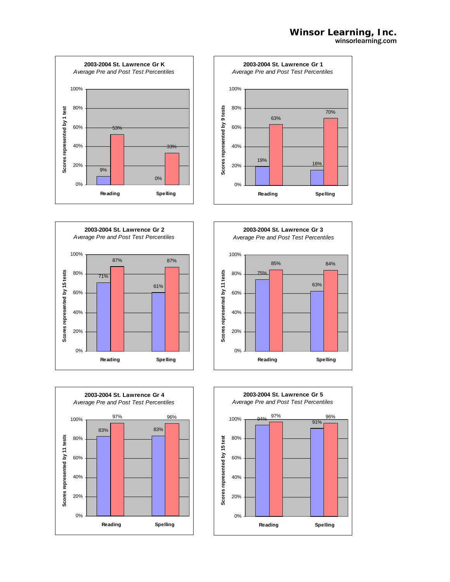